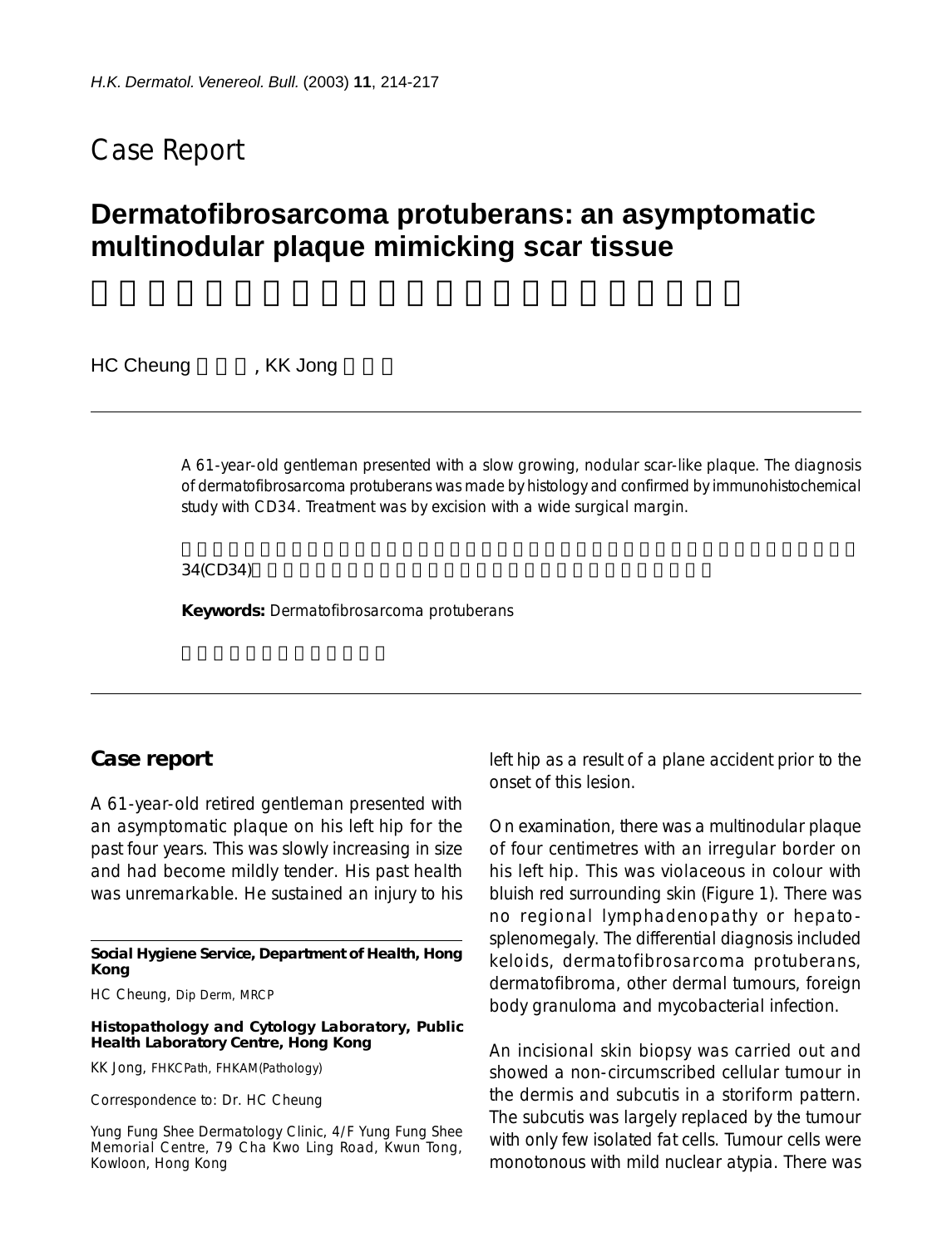## Case Report

# **Dermatofibrosarcoma protuberans: an asymptomatic multinodular plaque mimicking scar tissue**

HC Cheung FKK Jong

A 61-year-old gentleman presented with a slow growing, nodular scar-like plaque. The diagnosis of dermatofibrosarcoma protuberans was made by histology and confirmed by immunohistochemical study with CD34. Treatment was by excision with a wide surgical margin.

34(CD34)

**Keywords:** Dermatofibrosarcoma protuberans

#### **Case report**

A 61-year-old retired gentleman presented with an asymptomatic plaque on his left hip for the past four years. This was slowly increasing in size and had become mildly tender. His past health was unremarkable. He sustained an injury to his

**Social Hygiene Service, Department of Health, Hong Kong**

HC Cheung, Dip Derm, MRCP

**Histopathology and Cytology Laboratory, Public Health Laboratory Centre, Hong Kong**

KK Jong, FHKCPath, FHKAM(Pathology)

Correspondence to: Dr. HC Cheung

Yung Fung Shee Dermatology Clinic, 4/F Yung Fung Shee Memorial Centre, 79 Cha Kwo Ling Road, Kwun Tong, Kowloon, Hong Kong

left hip as a result of a plane accident prior to the onset of this lesion.

On examination, there was a multinodular plaque of four centimetres with an irregular border on his left hip. This was violaceous in colour with bluish red surrounding skin (Figure 1). There was no regional lymphadenopathy or hepatosplenomegaly. The differential diagnosis included keloids, dermatofibrosarcoma protuberans, dermatofibroma, other dermal tumours, foreign body granuloma and mycobacterial infection.

An incisional skin biopsy was carried out and showed a non-circumscribed cellular tumour in the dermis and subcutis in a storiform pattern. The subcutis was largely replaced by the tumour with only few isolated fat cells. Tumour cells were monotonous with mild nuclear atypia. There was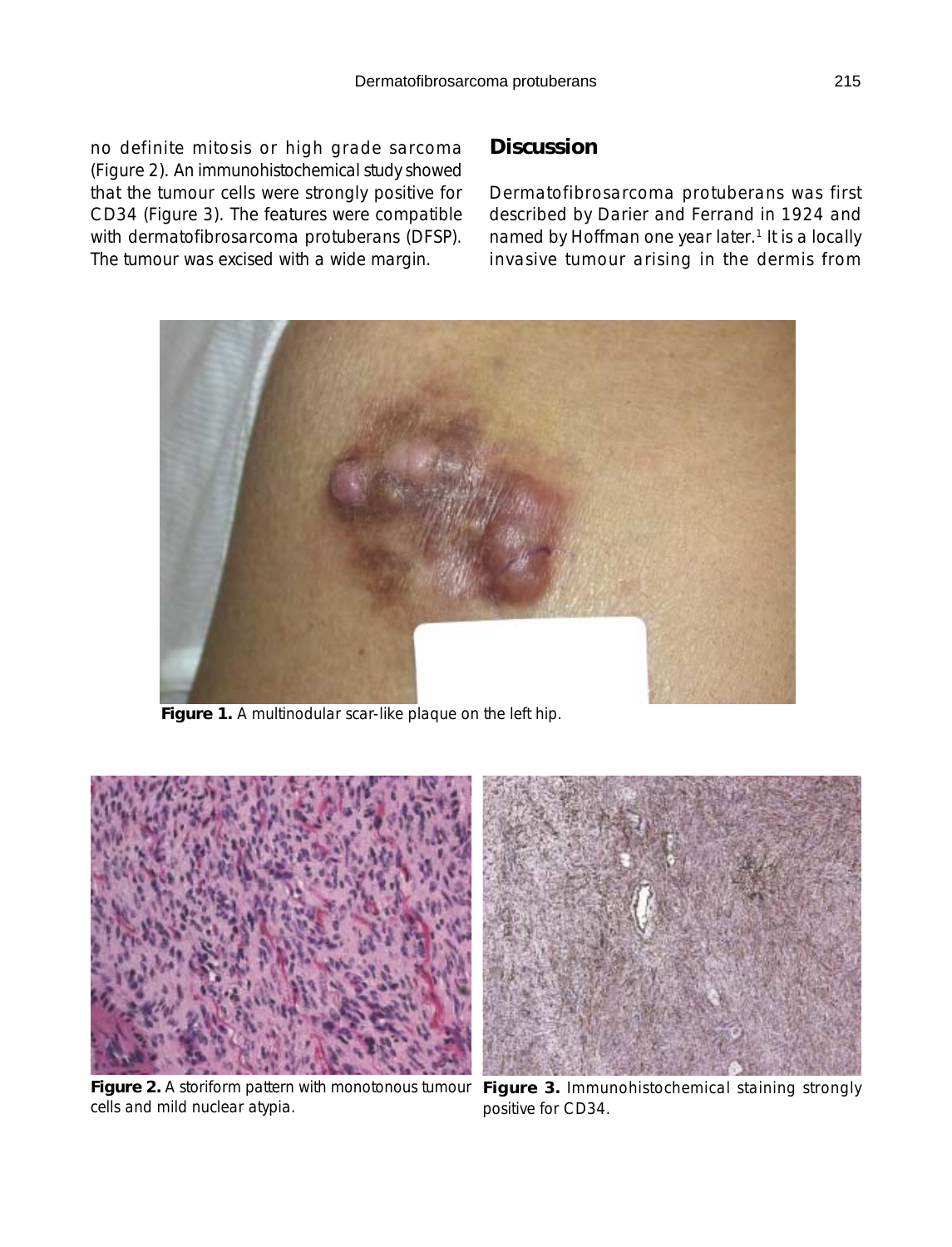no definite mitosis or high grade sarcoma (Figure 2). An immunohistochemical study showed that the tumour cells were strongly positive for CD34 (Figure 3). The features were compatible with dermatofibrosarcoma protuberans (DFSP). The tumour was excised with a wide margin.

### **Discussion**

Dermatofibrosarcoma protuberans was first described by Darier and Ferrand in 1924 and named by Hoffman one year later.<sup>1</sup> It is a locally invasive tumour arising in the dermis from



**Figure 1.** A multinodular scar-like plaque on the left hip.



cells and mild nuclear atypia.

**Figure 2.** A storiform pattern with monotonous tumour **Figure 3.** Immunohistochemical staining strongly positive for CD34.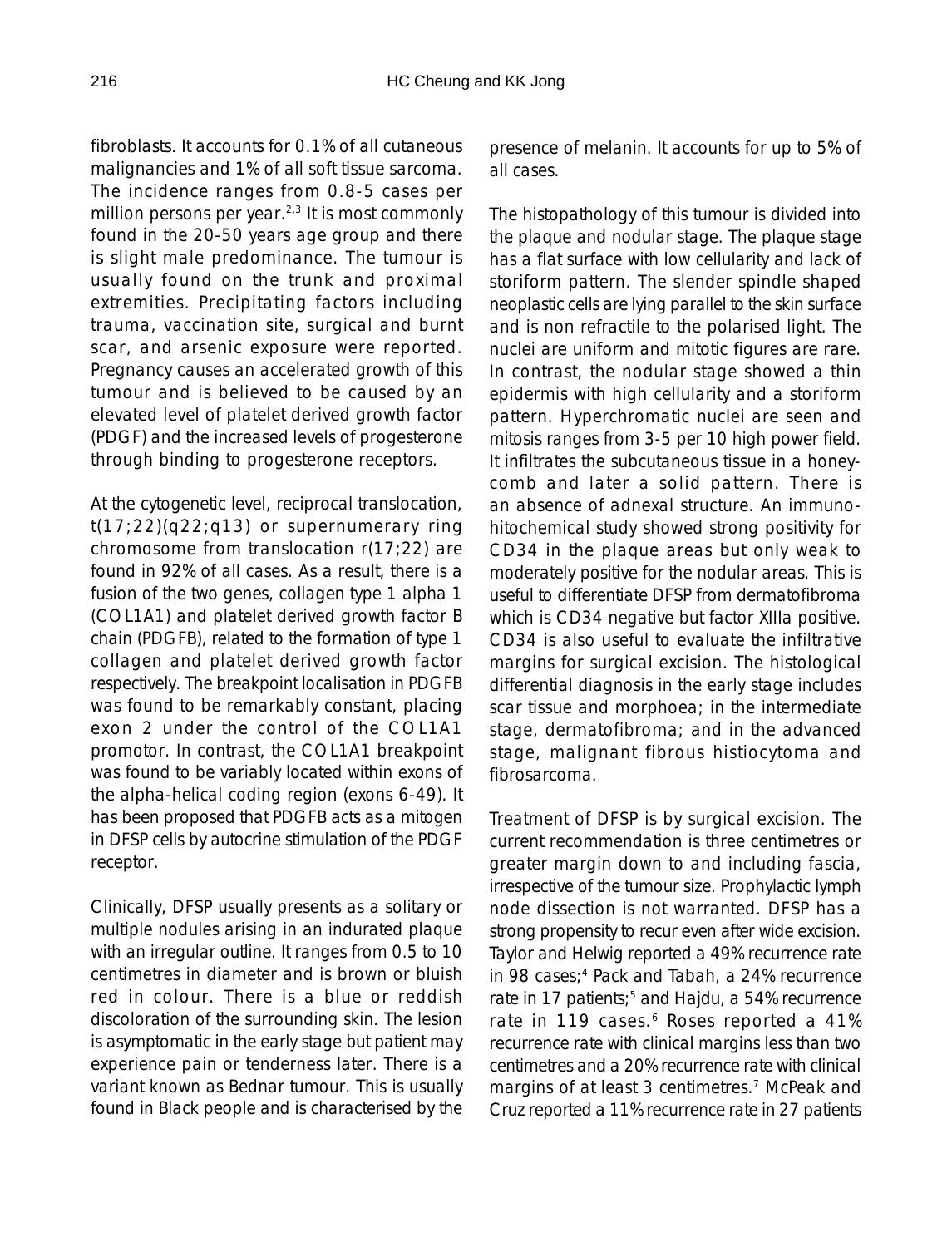fibroblasts. It accounts for 0.1% of all cutaneous malignancies and 1% of all soft tissue sarcoma. The incidence ranges from 0.8-5 cases per million persons per year. $2,3$  It is most commonly found in the 20-50 years age group and there is slight male predominance. The tumour is usually found on the trunk and proximal extremities. Precipitating factors including trauma, vaccination site, surgical and burnt scar, and arsenic exposure were reported. Pregnancy causes an accelerated growth of this tumour and is believed to be caused by an elevated level of platelet derived growth factor (PDGF) and the increased levels of progesterone through binding to progesterone receptors.

At the cytogenetic level, reciprocal translocation,  $t(17;22)(q22;q13)$  or supernumerary ring chromosome from translocation r(17;22) are found in 92% of all cases. As a result, there is a fusion of the two genes, collagen type 1 alpha 1 (COL1A1) and platelet derived growth factor B chain (PDGFB), related to the formation of type 1 collagen and platelet derived growth factor respectively. The breakpoint localisation in PDGFB was found to be remarkably constant, placing exon 2 under the control of the COL1A1 promotor. In contrast, the COL1A1 breakpoint was found to be variably located within exons of the alpha-helical coding region (exons 6-49). It has been proposed that PDGFB acts as a mitogen in DFSP cells by autocrine stimulation of the PDGF receptor.

Clinically, DFSP usually presents as a solitary or multiple nodules arising in an indurated plaque with an irregular outline. It ranges from 0.5 to 10 centimetres in diameter and is brown or bluish red in colour. There is a blue or reddish discoloration of the surrounding skin. The lesion is asymptomatic in the early stage but patient may experience pain or tenderness later. There is a variant known as Bednar tumour. This is usually found in Black people and is characterised by the

presence of melanin. It accounts for up to 5% of all cases.

The histopathology of this tumour is divided into the plaque and nodular stage. The plaque stage has a flat surface with low cellularity and lack of storiform pattern. The slender spindle shaped neoplastic cells are lying parallel to the skin surface and is non refractile to the polarised light. The nuclei are uniform and mitotic figures are rare. In contrast, the nodular stage showed a thin epidermis with high cellularity and a storiform pattern. Hyperchromatic nuclei are seen and mitosis ranges from 3-5 per 10 high power field. It infiltrates the subcutaneous tissue in a honeycomb and later a solid pattern. There is an absence of adnexal structure. An immunohitochemical study showed strong positivity for CD34 in the plaque areas but only weak to moderately positive for the nodular areas. This is useful to differentiate DFSP from dermatofibroma which is CD34 negative but factor XIIIa positive. CD34 is also useful to evaluate the infiltrative margins for surgical excision. The histological differential diagnosis in the early stage includes scar tissue and morphoea; in the intermediate stage, dermatofibroma; and in the advanced stage, malignant fibrous histiocytoma and fibrosarcoma.

Treatment of DFSP is by surgical excision. The current recommendation is three centimetres or greater margin down to and including fascia, irrespective of the tumour size. Prophylactic lymph node dissection is not warranted. DFSP has a strong propensity to recur even after wide excision. Taylor and Helwig reported a 49% recurrence rate in 98 cases;<sup>4</sup> Pack and Tabah, a 24% recurrence rate in 17 patients;<sup>5</sup> and Hajdu, a 54% recurrence rate in 119 cases.<sup>6</sup> Roses reported a 41% recurrence rate with clinical margins less than two centimetres and a 20% recurrence rate with clinical margins of at least 3 centimetres.<sup>7</sup> McPeak and Cruz reported a 11% recurrence rate in 27 patients